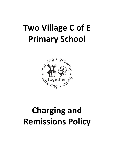# **Two Village C of E Primary School**



# **Charging and Remissions Policy**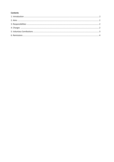#### **Contents**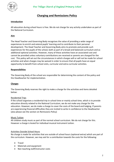

*Two Village Church of England Primary School* 

# **Charging and Remissions Policy**

### **Introduction**

All education during school hours is free. We do not charge for any activity undertaken as part of the National Curriculum.

# **Aim**

The Head Teacher and Governing Body recognises the value of providing a wide range of experiences to enrich and extend pupils' learning and to contribute to their personal development. The Head Teacher and Governing Body aims to promote and provide such experiences for the pupils of the school, both as part of a broad and balanced curriculum and as additional optional activities. However, many of these activities have an associated cost and cannot be provided unless voluntary contributions are received or parents are charged for the cost. This policy will set out the circumstances in which charges will or will not be made for school activities and when charges may be waived in order to ensure that all pupils have an equal opportunity to benefit from school visits, curricular and extra-curricular activities.

#### **Responsibilities**

The Governing Body of the school are responsible for determining the content of the policy and the Headteacher for implementation.

### **Charges**

The Governing Body reserves the right to make a charge for the activities and items detailed below:

#### Residential Trips

If the school organises a residential trip in school time or mainly school time, which is to provide education directly related to the National Curriculum, we do not make any charge for the education. However, we do make a charge to cover the costs of the board and lodging. If parents are experiencing financial difficulties they are invited to write in confidence to the Headteacher (also please see the section on Remissions Policy)

#### Music Tuition

All children study music as part of the normal school curriculum. We do not charge for this. However a charge is levied for individual musical instrument tuition.

#### Activities Outside School Hours

No charge is made for activities that are outside of school hours (optional extras) which are part of the curriculum. However, we may ask for a contribution towards the costs for the following:

- Travel
- Materials and equipment
- Non teaching staff/instructor costs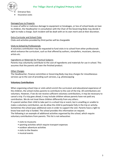

- Entrance fees
- Insurance costs

#### Damage/Loss to Property

In cases of wilful or malicious damage to equipment or breakages, or loss of school books on loan to children, the Headteacher in consultation with the Chair of the Governing Body may decide it right to make a charge. Each incident will be dealt with on its own merit and at their discretion.

#### Extra Curricular and School Clubs

Clubs and activities provided by third parties will be chargeable

#### Visits to School by Professionals

A voluntary contribution may be requested to fund visits in to school from other professionals which enhance the curriculum, such as that offered by authors, storytellers, musicians, dancers, artists etc.

#### Ingredients or Materials for Practical Subjects

Parents may voluntarily contribute to the cost of ingredients and materials for use in school. This assumes that the parents will own the finished product.

#### Other Charges

The Headteacher, Finance committee or Governing Body may levy charges for miscellaneous services up to the cost of providing such services, e.g. photocopying

#### **Voluntary Contributions**

When organising school trips or visits which enrich the curriculum and educational experience of the children, the school invites parents to contribute to the cost of the trip. All contributions are voluntary. However, if we do not receive sufficient voluntary contributions, it may be necessary to cancel a trip. If a trip goes ahead, it may include children whose parents have not paid any contribution. We do not treat these children differently from any others.

If a parent wishes their child to take part in a school trip or event, but is unwilling or unable to make a voluntary contribution, we do allow the child to participate fully in the trip or activity. Sometimes the school pays additional costs in order to support the visit. Parents have a right to know how each trip is funded. The school provides this information on request.

The following is an example of additional activities organised by the school, which require voluntary contributions from parents. This list is not exhaustive:

- visits to museums
- sporting activities which require transport expenses
- outdoor adventure activities
- visits to the theatre
- musical events